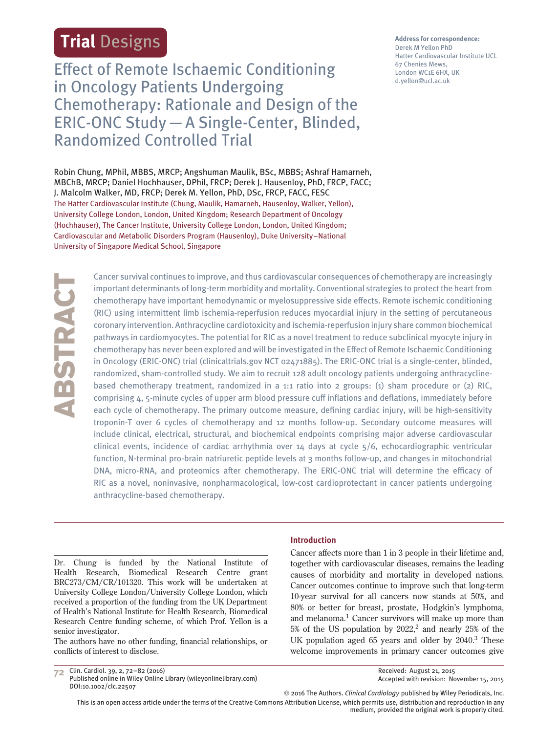# **Trial** Designs

Effect of Remote Ischaemic Conditioning in Oncology Patients Undergoing Chemotherapy: Rationale and Design of the ERIC-ONC Study—A Single-Center, Blinded, Randomized Controlled Trial

Robin Chung, MPhil, MBBS, MRCP; Angshuman Maulik, BSc, MBBS; Ashraf Hamarneh, MBChB, MRCP; Daniel Hochhauser, DPhil, FRCP; Derek J. Hausenloy, PhD, FRCP, FACC; J. Malcolm Walker, MD, FRCP; Derek M. Yellon, PhD, DSc, FRCP, FACC, FESC The Hatter Cardiovascular Institute (Chung, Maulik, Hamarneh, Hausenloy, Walker, Yellon), University College London, London, United Kingdom; Research Department of Oncology (Hochhauser), The Cancer Institute, University College London, London, United Kingdom; Cardiovascular and Metabolic Disorders Program (Hausenloy), Duke University–National University of Singapore Medical School, Singapore

ABSTRACT

Cancer survival continues to improve, and thus cardiovascular consequences of chemotherapy are increasingly important determinants of long-term morbidity and mortality. Conventional strategies to protect the heart from chemotherapy have important hemodynamic or myelosuppressive side effects. Remote ischemic conditioning (RIC) using intermittent limb ischemia-reperfusion reduces myocardial injury in the setting of percutaneous coronary intervention. Anthracycline cardiotoxicity and ischemia-reperfusion injury share common biochemical pathways in cardiomyocytes. The potential for RIC as a novel treatment to reduce subclinical myocyte injury in chemotherapy has never been explored and will be investigated in the Effect of Remote Ischaemic Conditioning in Oncology (ERIC-ONC) trial (clinicaltrials.gov NCT 02471885). The ERIC-ONC trial is a single-center, blinded, randomized, sham-controlled study. We aim to recruit 128 adult oncology patients undergoing anthracyclinebased chemotherapy treatment, randomized in a 1:1 ratio into 2 groups: (1) sham procedure or (2) RIC, comprising 4, 5-minute cycles of upper arm blood pressure cuff inflations and deflations, immediately before each cycle of chemotherapy. The primary outcome measure, defining cardiac injury, will be high-sensitivity troponin-T over 6 cycles of chemotherapy and 12 months follow-up. Secondary outcome measures will include clinical, electrical, structural, and biochemical endpoints comprising major adverse cardiovascular clinical events, incidence of cardiac arrhythmia over  $14$  days at cycle  $5/6$ , echocardiographic ventricular function, N-terminal pro-brain natriuretic peptide levels at 3 months follow-up, and changes in mitochondrial DNA, micro-RNA, and proteomics after chemotherapy. The ERIC-ONC trial will determine the efficacy of RIC as a novel, noninvasive, nonpharmacological, low-cost cardioprotectant in cancer patients undergoing anthracycline-based chemotherapy.

Dr. Chung is funded by the National Institute of Health Research, Biomedical Research Centre grant BRC273/CM/CR/101320. This work will be undertaken at University College London/University College London, which received a proportion of the funding from the UK Department of Health's National Institute for Health Research, Biomedical Research Centre funding scheme, of which Prof. Yellon is a senior investigator.

The authors have no other funding, financial relationships, or conflicts of interest to disclose.

#### **Introduction**

Cancer affects more than 1 in 3 people in their lifetime and, together with cardiovascular diseases, remains the leading causes of morbidity and mortality in developed nations. Cancer outcomes continue to improve such that long-term 10-year survival for all cancers now stands at 50%, and 80% or better for breast, prostate, Hodgkin's lymphoma, and melanoma.<sup>1</sup> Cancer survivors will make up more than  $5%$  of the US population by  $2022<sup>2</sup>$ , and nearly  $25%$  of the UK population aged 65 years and older by 2040.3 These welcome improvements in primary cancer outcomes give

**72** Clin. Cardiol. 39, 2, 72–82 (2016) Published online in Wiley Online Library (wileyonlinelibrary.com) DOI:10.1002/clc.22507

Received: August 21, 2015 Accepted with revision: November 15, 2015

© 2016 The Authors. *Clinical Cardiology* published by Wiley Periodicals, Inc.

This is an open access article under the terms of the Creative Commons Attribution License, which permits use, distribution and reproduction in any medium, provided the original work is properly cited.

**Address for correspondence:** Derek M Yellon PhD Hatter Cardiovascular Institute UCL 67 Chenies Mews, London WC1E 6HX, UK d.yellon@ucl.ac.uk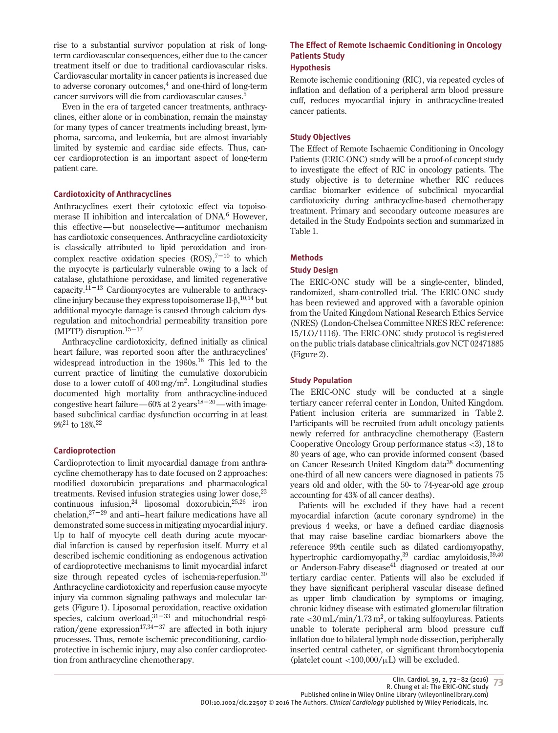rise to a substantial survivor population at risk of longterm cardiovascular consequences, either due to the cancer treatment itself or due to traditional cardiovascular risks. Cardiovascular mortality in cancer patients is increased due to adverse coronary outcomes,<sup>4</sup> and one-third of long-term cancer survivors will die from cardiovascular causes.5

Even in the era of targeted cancer treatments, anthracyclines, either alone or in combination, remain the mainstay for many types of cancer treatments including breast, lymphoma, sarcoma, and leukemia, but are almost invariably limited by systemic and cardiac side effects. Thus, cancer cardioprotection is an important aspect of long-term patient care.

#### **Cardiotoxicity of Anthracyclines**

Anthracyclines exert their cytotoxic effect via topoisomerase II inhibition and intercalation of DNA.<sup>6</sup> However, this effective—but nonselective—antitumor mechanism has cardiotoxic consequences. Anthracycline cardiotoxicity is classically attributed to lipid peroxidation and ironcomplex reactive oxidation species  $(ROS),^{7-10}$  to which the myocyte is particularly vulnerable owing to a lack of catalase, glutathione peroxidase, and limited regenerative capacity. $11-13$  Cardiomyocytes are vulnerable to anthracycline injury because they express topoisomerase II-β,  $^{10,14}$  but additional myocyte damage is caused through calcium dysregulation and mitochondrial permeability transition pore (MPTP) disruption. $15-17$ 

Anthracycline cardiotoxicity, defined initially as clinical heart failure, was reported soon after the anthracyclines' widespread introduction in the 1960s.<sup>18</sup> This led to the current practice of limiting the cumulative doxorubicin dose to a lower cutoff of  $400 \,\mathrm{mg/m^2}$ . Longitudinal studies documented high mortality from anthracycline-induced congestive heart failure—60% at 2 years<sup>18-20</sup>—with imagebased subclinical cardiac dysfunction occurring in at least 9%<sup>21</sup> to 18%.22

# **Cardioprotection**

Cardioprotection to limit myocardial damage from anthracycline chemotherapy has to date focused on 2 approaches: modified doxorubicin preparations and pharmacological treatments. Revised infusion strategies using lower dose, $^{23}$ continuous infusion,  $24$  liposomal doxorubicin,  $25,26$  iron chelation,27–29 and anti–heart failure medications have all demonstrated some success in mitigating myocardial injury. Up to half of myocyte cell death during acute myocardial infarction is caused by reperfusion itself. Murry et al described ischemic conditioning as endogenous activation of cardioprotective mechanisms to limit myocardial infarct size through repeated cycles of ischemia-reperfusion.<sup>30</sup> Anthracycline cardiotoxicity and reperfusion cause myocyte injury via common signaling pathways and molecular targets (Figure 1). Liposomal peroxidation, reactive oxidation species, calcium overload, $31-33$  and mitochondrial respiration/gene expression<sup>17,34–37</sup> are affected in both injury processes. Thus, remote ischemic preconditioning, cardioprotective in ischemic injury, may also confer cardioprotection from anthracycline chemotherapy.

# **The Effect of Remote Ischaemic Conditioning in Oncology Patients Study**

#### **Hypothesis**

Remote ischemic conditioning (RIC), via repeated cycles of inflation and deflation of a peripheral arm blood pressure cuff, reduces myocardial injury in anthracycline-treated cancer patients.

#### **Study Objectives**

The Effect of Remote Ischaemic Conditioning in Oncology Patients (ERIC-ONC) study will be a proof-of-concept study to investigate the effect of RIC in oncology patients. The study objective is to determine whether RIC reduces cardiac biomarker evidence of subclinical myocardial cardiotoxicity during anthracycline-based chemotherapy treatment. Primary and secondary outcome measures are detailed in the Study Endpoints section and summarized in Table 1.

#### **Methods**

#### **Study Design**

The ERIC-ONC study will be a single-center, blinded, randomized, sham-controlled trial. The ERIC-ONC study has been reviewed and approved with a favorable opinion from the United Kingdom National Research Ethics Service (NRES) (London-Chelsea Committee NRES REC reference: 15/LO/1116). The ERIC-ONC study protocol is registered on the public trials database clinicaltrials.gov NCT 02471885 (Figure 2).

# **Study Population**

The ERIC-ONC study will be conducted at a single tertiary cancer referral center in London, United Kingdom. Patient inclusion criteria are summarized in Table 2. Participants will be recruited from adult oncology patients newly referred for anthracycline chemotherapy (Eastern Cooperative Oncology Group performance status *<*3), 18 to 80 years of age, who can provide informed consent (based on Cancer Research United Kingdom data<sup>38</sup> documenting one-third of all new cancers were diagnosed in patients 75 years old and older, with the 50- to 74-year-old age group accounting for 43% of all cancer deaths).

Patients will be excluded if they have had a recent myocardial infarction (acute coronary syndrome) in the previous 4 weeks, or have a defined cardiac diagnosis that may raise baseline cardiac biomarkers above the reference 99th centile such as dilated cardiomyopathy, hypertrophic cardiomyopathy,39 cardiac amyloidosis,39,40 or Anderson-Fabry disease<sup>41</sup> diagnosed or treated at our tertiary cardiac center. Patients will also be excluded if they have significant peripheral vascular disease defined as upper limb claudication by symptoms or imaging, chronic kidney disease with estimated glomerular filtration rate *<*30 mL/min/1.73 m2, or taking sulfonylureas. Patients unable to tolerate peripheral arm blood pressure cuff inflation due to bilateral lymph node dissection, peripherally inserted central catheter, or significant thrombocytopenia (platelet count *<*100,000/μL) will be excluded.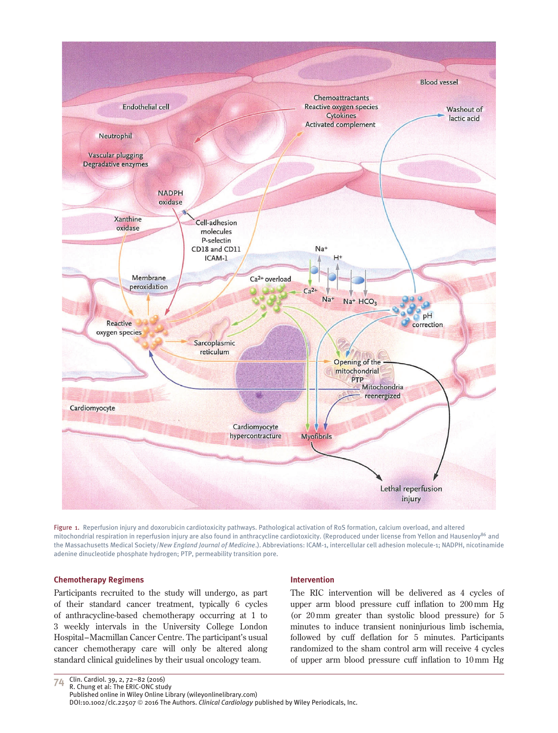

Figure 1. Reperfusion injury and doxorubicin cardiotoxicity pathways. Pathological activation of RoS formation, calcium overload, and altered mitochondrial respiration in reperfusion injury are also found in anthracycline cardiotoxicity. (Reproduced under license from Yellon and Hausenloy86 and the Massachusetts Medical Society/*New England Journal of Medicine*.). Abbreviations: ICAM-1, intercellular cell adhesion molecule-1; NADPH, nicotinamide adenine dinucleotide phosphate hydrogen; PTP, permeability transition pore.

#### **Chemotherapy Regimens**

Participants recruited to the study will undergo, as part of their standard cancer treatment, typically 6 cycles of anthracycline-based chemotherapy occurring at 1 to 3 weekly intervals in the University College London Hospital–Macmillan Cancer Centre. The participant's usual cancer chemotherapy care will only be altered along standard clinical guidelines by their usual oncology team.

#### **Intervention**

The RIC intervention will be delivered as 4 cycles of upper arm blood pressure cuff inflation to 200 mm Hg (or 20 mm greater than systolic blood pressure) for 5 minutes to induce transient noninjurious limb ischemia, followed by cuff deflation for 5 minutes. Participants randomized to the sham control arm will receive 4 cycles of upper arm blood pressure cuff inflation to 10 mm Hg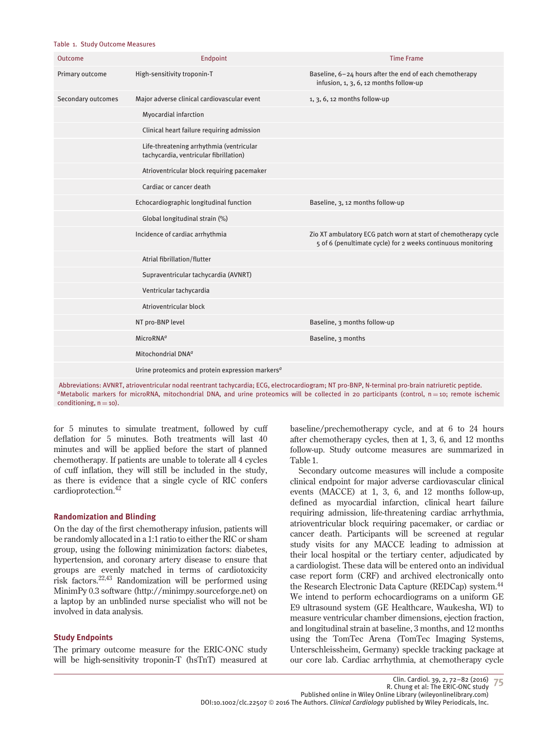#### Table 1. Study Outcome Measures

| Outcome            | Endpoint                                                                           | <b>Time Frame</b>                                                                                                               |
|--------------------|------------------------------------------------------------------------------------|---------------------------------------------------------------------------------------------------------------------------------|
| Primary outcome    | High-sensitivity troponin-T                                                        | Baseline, 6-24 hours after the end of each chemotherapy<br>infusion, 1, 3, 6, 12 months follow-up                               |
| Secondary outcomes | Major adverse clinical cardiovascular event                                        | $1, 3, 6, 12$ months follow-up                                                                                                  |
|                    | <b>Myocardial infarction</b>                                                       |                                                                                                                                 |
|                    | Clinical heart failure requiring admission                                         |                                                                                                                                 |
|                    | Life-threatening arrhythmia (ventricular<br>tachycardia, ventricular fibrillation) |                                                                                                                                 |
|                    | Atrioventricular block requiring pacemaker                                         |                                                                                                                                 |
|                    | Cardiac or cancer death                                                            |                                                                                                                                 |
|                    | Echocardiographic longitudinal function                                            | Baseline, 3, 12 months follow-up                                                                                                |
|                    | Global longitudinal strain (%)                                                     |                                                                                                                                 |
|                    | Incidence of cardiac arrhythmia                                                    | Zio XT ambulatory ECG patch worn at start of chemotherapy cycle<br>5 of 6 (penultimate cycle) for 2 weeks continuous monitoring |
|                    | Atrial fibrillation/flutter                                                        |                                                                                                                                 |
|                    | Supraventricular tachycardia (AVNRT)                                               |                                                                                                                                 |
|                    | Ventricular tachycardia                                                            |                                                                                                                                 |
|                    | Atrioventricular block                                                             |                                                                                                                                 |
|                    | NT pro-BNP level                                                                   | Baseline, 3 months follow-up                                                                                                    |
|                    | MicroRNA <sup>a</sup>                                                              | Baseline, 3 months                                                                                                              |
|                    | Mitochondrial DNA <sup>a</sup>                                                     |                                                                                                                                 |
|                    | Urine proteomics and protein expression markers <sup>a</sup>                       |                                                                                                                                 |

Abbreviations: AVNRT, atrioventricular nodal reentrant tachycardia; ECG, electrocardiogram; NT pro-BNP, N-terminal pro-brain natriuretic peptide. *<sup>a</sup>*Metabolic markers for microRNA, mitochondrial DNA, and urine proteomics will be collected in 20 participants (control, n <sup>=</sup> 10; remote ischemic conditioning,  $n = 10$ .

for 5 minutes to simulate treatment, followed by cuff deflation for 5 minutes. Both treatments will last 40 minutes and will be applied before the start of planned chemotherapy. If patients are unable to tolerate all 4 cycles of cuff inflation, they will still be included in the study, as there is evidence that a single cycle of RIC confers cardioprotection.42

# **Randomization and Blinding**

On the day of the first chemotherapy infusion, patients will be randomly allocated in a 1:1 ratio to either the RIC or sham group, using the following minimization factors: diabetes, hypertension, and coronary artery disease to ensure that groups are evenly matched in terms of cardiotoxicity risk factors.22,43 Randomization will be performed using MinimPy 0.3 software (http://minimpy.sourceforge.net) on a laptop by an unblinded nurse specialist who will not be involved in data analysis.

# **Study Endpoints**

The primary outcome measure for the ERIC-ONC study will be high-sensitivity troponin-T (hsTnT) measured at baseline/prechemotherapy cycle, and at 6 to 24 hours after chemotherapy cycles, then at 1, 3, 6, and 12 months follow-up. Study outcome measures are summarized in Table 1.

Secondary outcome measures will include a composite clinical endpoint for major adverse cardiovascular clinical events (MACCE) at 1, 3, 6, and 12 months follow-up, defined as myocardial infarction, clinical heart failure requiring admission, life-threatening cardiac arrhythmia, atrioventricular block requiring pacemaker, or cardiac or cancer death. Participants will be screened at regular study visits for any MACCE leading to admission at their local hospital or the tertiary center, adjudicated by a cardiologist. These data will be entered onto an individual case report form (CRF) and archived electronically onto the Research Electronic Data Capture (REDCap) system.<sup>44</sup> We intend to perform echocardiograms on a uniform GE E9 ultrasound system (GE Healthcare, Waukesha, WI) to measure ventricular chamber dimensions, ejection fraction, and longitudinal strain at baseline, 3 months, and 12 months using the TomTec Arena (TomTec Imaging Systems, Unterschleissheim, Germany) speckle tracking package at our core lab. Cardiac arrhythmia, at chemotherapy cycle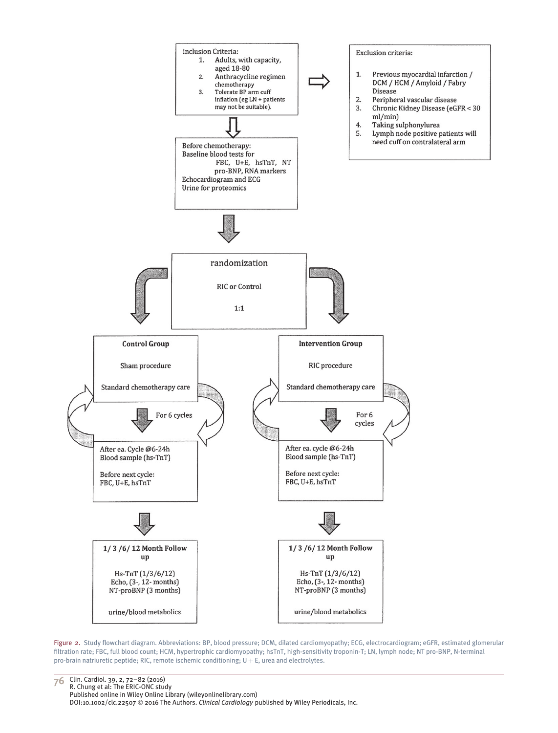

Figure 2. Study flowchart diagram. Abbreviations: BP, blood pressure; DCM, dilated cardiomyopathy; ECG, electrocardiogram; eGFR, estimated glomerular filtration rate; FBC, full blood count; HCM, hypertrophic cardiomyopathy; hsTnT, high-sensitivity troponin-T; LN, lymph node; NT pro-BNP, N-terminal pro-brain natriuretic peptide; RIC, remote ischemic conditioning;  $U + E$ , urea and electrolytes.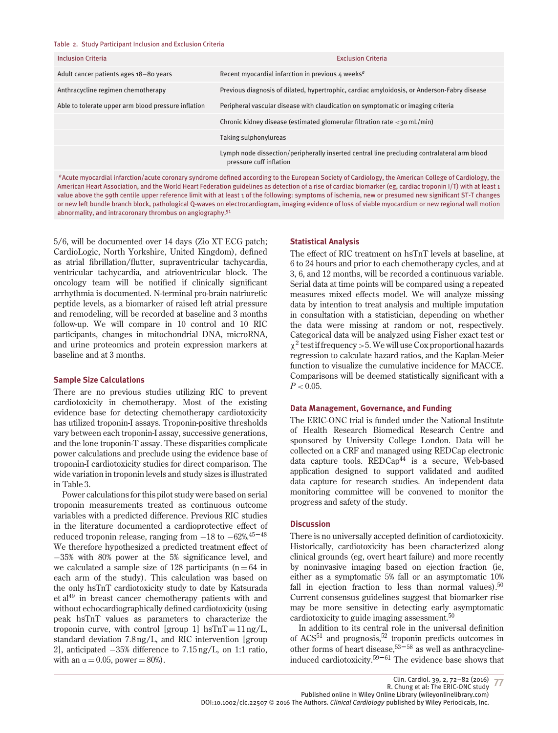| <b>Inclusion Criteria</b>                           | <b>Exclusion Criteria</b>                                                                                              |  |  |  |
|-----------------------------------------------------|------------------------------------------------------------------------------------------------------------------------|--|--|--|
| Adult cancer patients ages 18-80 years              | Recent myocardial infarction in previous 4 weeks <sup>a</sup>                                                          |  |  |  |
| Anthracycline regimen chemotherapy                  | Previous diagnosis of dilated, hypertrophic, cardiac amyloidosis, or Anderson-Fabry disease                            |  |  |  |
| Able to tolerate upper arm blood pressure inflation | Peripheral vascular disease with claudication on symptomatic or imaging criteria                                       |  |  |  |
|                                                     | Chronic kidney disease (estimated glomerular filtration rate $\langle$ 30 mL/min)                                      |  |  |  |
|                                                     | Taking sulphonylureas                                                                                                  |  |  |  |
|                                                     | Lymph node dissection/peripherally inserted central line precluding contralateral arm blood<br>pressure cuff inflation |  |  |  |

*<sup>a</sup>*Acute myocardial infarction/acute coronary syndrome defined according to the European Society of Cardiology, the American College of Cardiology, the American Heart Association, and the World Heart Federation guidelines as detection of a rise of cardiac biomarker (eg, cardiac troponin I/T) with at least 1 value above the 99th centile upper reference limit with at least 1 of the following: symptoms of ischemia, new or presumed new significant ST-T changes or new left bundle branch block, pathological Q-waves on electrocardiogram, imaging evidence of loss of viable myocardium or new regional wall motion abnormality, and intracoronary thrombus on angiography.51

5/6, will be documented over 14 days (Zio XT ECG patch; CardioLogic, North Yorkshire, United Kingdom), defined as atrial fibrillation/flutter, supraventricular tachycardia, ventricular tachycardia, and atrioventricular block. The oncology team will be notified if clinically significant arrhythmia is documented. N-terminal pro-brain natriuretic peptide levels, as a biomarker of raised left atrial pressure and remodeling, will be recorded at baseline and 3 months follow-up. We will compare in 10 control and 10 RIC participants, changes in mitochondrial DNA, microRNA, and urine proteomics and protein expression markers at baseline and at 3 months.

#### **Sample Size Calculations**

There are no previous studies utilizing RIC to prevent cardiotoxicity in chemotherapy. Most of the existing evidence base for detecting chemotherapy cardiotoxicity has utilized troponin-I assays. Troponin-positive thresholds vary between each troponin-I assay, successive generations, and the lone troponin-T assay. These disparities complicate power calculations and preclude using the evidence base of troponin-I cardiotoxicity studies for direct comparison. The wide variation in troponin levels and study sizes is illustrated in Table 3.

Power calculations for this pilot study were based on serial troponin measurements treated as continuous outcome variables with a predicted difference. Previous RIC studies in the literature documented a cardioprotective effect of reduced troponin release, ranging from <sup>−</sup>18 to <sup>−</sup>62%.45–48 We therefore hypothesized a predicted treatment effect of −35% with 80% power at the 5% significance level, and we calculated a sample size of 128 participants  $(n = 64$  in each arm of the study). This calculation was based on the only hsTnT cardiotoxicity study to date by Katsurada et al<sup>49</sup> in breast cancer chemotherapy patients with and without echocardiographically defined cardiotoxicity (using peak hsTnT values as parameters to characterize the troponin curve, with control [group 1]  $hSTnT = 11 \text{ ng/L}$ , standard deviation 7.8 ng/L, and RIC intervention [group 2], anticipated −35% difference to 7.15 ng/L, on 1:1 ratio, with an  $\alpha = 0.05$ , power = 80%).

#### **Statistical Analysis**

The effect of RIC treatment on hsTnT levels at baseline, at 6 to 24 hours and prior to each chemotherapy cycles, and at 3, 6, and 12 months, will be recorded a continuous variable. Serial data at time points will be compared using a repeated measures mixed effects model. We will analyze missing data by intention to treat analysis and multiple imputation in consultation with a statistician, depending on whether the data were missing at random or not, respectively. Categorical data will be analyzed using Fisher exact test or χ<sup>2</sup> test if frequency*>*5. We will use Cox proportional hazards regression to calculate hazard ratios, and the Kaplan-Meier function to visualize the cumulative incidence for MACCE. Comparisons will be deemed statistically significant with a  $P < 0.05$ .

#### **Data Management, Governance, and Funding**

The ERIC-ONC trial is funded under the National Institute of Health Research Biomedical Research Centre and sponsored by University College London. Data will be collected on a CRF and managed using REDCap electronic data capture tools.  $REDCap<sup>44</sup>$  is a secure, Web-based application designed to support validated and audited data capture for research studies. An independent data monitoring committee will be convened to monitor the progress and safety of the study.

#### **Discussion**

There is no universally accepted definition of cardiotoxicity. Historically, cardiotoxicity has been characterized along clinical grounds (eg, overt heart failure) and more recently by noninvasive imaging based on ejection fraction (ie, either as a symptomatic 5% fall or an asymptomatic 10% fall in ejection fraction to less than normal values).<sup>50</sup> Current consensus guidelines suggest that biomarker rise may be more sensitive in detecting early asymptomatic cardiotoxicity to guide imaging assessment.<sup>50</sup>

In addition to its central role in the universal definition of  $ACS<sup>51</sup>$  and prognosis,<sup>52</sup> troponin predicts outcomes in other forms of heart disease,  $53-58$  as well as anthracyclineinduced cardiotoxicity.<sup>59–61</sup> The evidence base shows that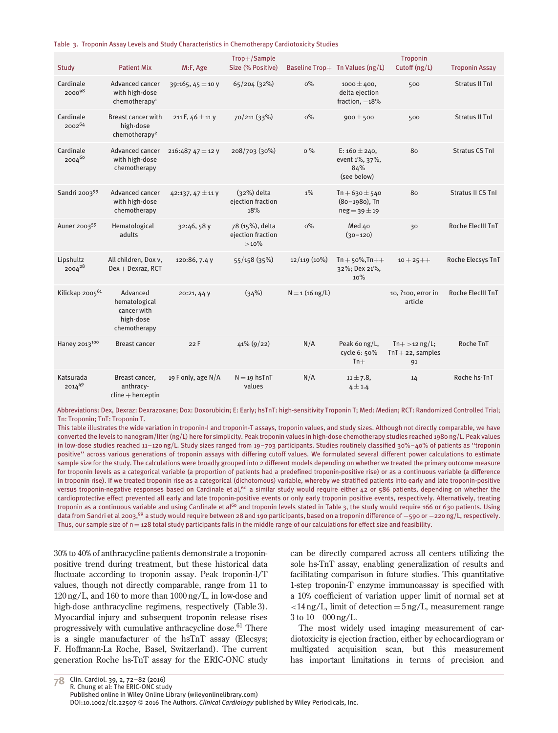Table 3. Troponin Assay Levels and Study Characteristics in Chemotherapy Cardiotoxicity Studies

| Study                       | <b>Patient Mix</b>                                                    | M:F, Age             | Trop+/Sample<br>Size (% Positive)            |                   | Baseline Trop+ Tn Values (ng/L)                               | Troponin<br>Cutoff $(ng/L)$                  | <b>Troponin Assay</b> |
|-----------------------------|-----------------------------------------------------------------------|----------------------|----------------------------------------------|-------------------|---------------------------------------------------------------|----------------------------------------------|-----------------------|
| Cardinale<br>$2000^{98}$    | Advanced cancer<br>with high-dose<br>chemotherapy <sup>1</sup>        | 39:165, 45 ± 10 V    | 65/204(32%)                                  | $0\%$             | $1000 \pm 400,$<br>delta ejection<br>fraction, $-18%$         | 500                                          | <b>Stratus II Tnl</b> |
| Cardinale<br>$2002^{64}$    | <b>Breast cancer with</b><br>high-dose<br>chemotherapy <sup>2</sup>   | 211 F, $46 \pm 11$ V | 70/211 (33%)                                 | $0\%$             | $900 \pm 500$                                                 | 500                                          | <b>Stratus II Tnl</b> |
| Cardinale<br>200460         | Advanced cancer<br>with high-dose<br>chemotherapy                     | 216:487 47 ± 12 y    | 208/703 (30%)                                | $0\%$             | E: $160 \pm 240$ ,<br>event 1%, 37%,<br>84%<br>(see below)    | 80                                           | <b>Stratus CS Tnl</b> |
| Sandri 200399               | Advanced cancer<br>with high-dose<br>chemotherapy                     | 42:137, 47 ± 11 y    | $(32%)$ delta<br>ejection fraction<br>18%    | $1\%$             | $Tn + 630 \pm 540$<br>$(80 - 1980)$ , Tn<br>$neg = 39 \pm 19$ | 80                                           | Stratus II CS Tnl     |
| Auner 2003 <sup>59</sup>    | Hematological<br>adults                                               | 32:46, 58 y          | 78 (15%), delta<br>ejection fraction<br>>10% | $0\%$             | Med 40<br>$(30 - 120)$                                        | 30                                           | Roche ElecIII TnT     |
| Lipshultz<br>200428         | All children, Dox v,<br>$Dex + Dexraz, RCT$                           | 120:86, 7.4 V        | 55/158(35%)                                  | 12/119 (10%)      | $Tn + 50\%, Tn++$<br>32%; Dex 21%,<br>10%                     | $10 + 25 + +$                                | Roche Elecsys TnT     |
| Kilickap 2005 <sup>61</sup> | Advanced<br>hematological<br>cancer with<br>high-dose<br>chemotherapy | 20:21, 44 V          | (34%)                                        | $N = 1$ (16 ng/L) |                                                               | 10, ?100, error in<br>article                | Roche ElecIII TnT     |
| Haney 2013100               | <b>Breast cancer</b>                                                  | 22F                  | $41\%$ (9/22)                                | N/A               | Peak 60 ng/L,<br>cycle 6: 50%<br>$Tn+$                        | $Tn+ > 12$ ng/L;<br>$TnT+22$ , samples<br>91 | Roche TnT             |
| Katsurada<br>201449         | Breast cancer,<br>anthracy-<br>$cline + herception$                   | 19 F only, age N/A   | $N = 19$ hsTnT<br>values                     | N/A               | $11 \pm 7.8$ ,<br>4 ± 1.4                                     | 14                                           | Roche hs-TnT          |

Abbreviations: Dex, Dexraz: Dexrazoxane; Dox: Doxorubicin; E: Early; hsTnT: high-sensitivity Troponin T; Med: Median; RCT: Randomized Controlled Trial; Tn: Troponin; TnT: Troponin T.

This table illustrates the wide variation in troponin-I and troponin-T assays, troponin values, and study sizes. Although not directly comparable, we have converted the levels to nanogram/liter (ng/L) here for simplicity. Peak troponin values in high-dose chemotherapy studies reached 1980 ng/L. Peak values in low-dose studies reached 11–120 ng/L. Study sizes ranged from 19–703 participants. Studies routinely classified 30%–40% of patients as ''troponin positive'' across various generations of troponin assays with differing cutoff values. We formulated several different power calculations to estimate sample size for the study. The calculations were broadly grouped into 2 different models depending on whether we treated the primary outcome measure for troponin levels as a categorical variable (a proportion of patients had a predefined troponin-positive rise) or as a continuous variable (a difference in troponin rise). If we treated troponin rise as a categorical (dichotomous) variable, whereby we stratified patients into early and late troponin-positive versus troponin-negative responses based on Cardinale et al,<sup>60</sup> a similar study would require either 42 or 586 patients, depending on whether the cardioprotective effect prevented all early and late troponin-positive events or only early troponin positive events, respectively. Alternatively, treating troponin as a continuous variable and using Cardinale et al<sup>60</sup> and troponin levels stated in Table 3, the study would require 166 or 630 patients. Using data from Sandri et al 2003,<sup>99</sup> a study would require between 28 and 190 participants, based on a troponin difference of −590 or −220 ng/L, respectively. Thus, our sample size of  $n = 128$  total study participants falls in the middle range of our calculations for effect size and feasibility.

30% to 40% of anthracycline patients demonstrate a troponinpositive trend during treatment, but these historical data fluctuate according to troponin assay. Peak troponin-I/T values, though not directly comparable, range from 11 to 120 ng/L, and 160 to more than 1000 ng/L, in low-dose and high-dose anthracycline regimens, respectively (Table 3). Myocardial injury and subsequent troponin release rises progressively with cumulative anthracycline dose.61 There is a single manufacturer of the hsTnT assay (Elecsys; F. Hoffmann-La Roche, Basel, Switzerland). The current generation Roche hs-TnT assay for the ERIC-ONC study

can be directly compared across all centers utilizing the sole hs-TnT assay, enabling generalization of results and facilitating comparison in future studies. This quantitative 1-step troponin-T enzyme immunoassay is specified with a 10% coefficient of variation upper limit of normal set at *<*14 ng/L, limit of detection = 5 ng/L, measurement range 3 to 10 000 ng/L.

The most widely used imaging measurement of cardiotoxicity is ejection fraction, either by echocardiogram or multigated acquisition scan, but this measurement has important limitations in terms of precision and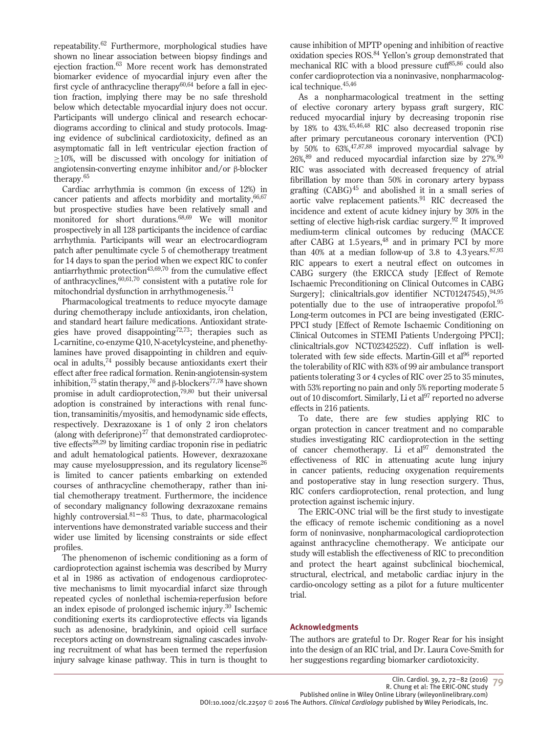repeatability.62 Furthermore, morphological studies have shown no linear association between biopsy findings and ejection fraction.63 More recent work has demonstrated biomarker evidence of myocardial injury even after the first cycle of anthracycline therapy $60,64$  before a fall in ejection fraction, implying there may be no safe threshold below which detectable myocardial injury does not occur. Participants will undergo clinical and research echocardiograms according to clinical and study protocols. Imaging evidence of subclinical cardiotoxicity, defined as an asymptomatic fall in left ventricular ejection fraction of ≥10%, will be discussed with oncology for initiation of angiotensin-converting enzyme inhibitor and/or β-blocker therapy.65

Cardiac arrhythmia is common (in excess of 12%) in cancer patients and affects morbidity and mortality,  $66,67$ but prospective studies have been relatively small and monitored for short durations.68,69 We will monitor prospectively in all 128 participants the incidence of cardiac arrhythmia. Participants will wear an electrocardiogram patch after penultimate cycle 5 of chemotherapy treatment for 14 days to span the period when we expect RIC to confer antiarrhythmic protection $43,69,70$  from the cumulative effect of anthracyclines,  $60,61,70$  consistent with a putative role for mitochondrial dysfunction in arrhythmogenesis.<sup>71</sup>

Pharmacological treatments to reduce myocyte damage during chemotherapy include antioxidants, iron chelation, and standard heart failure medications. Antioxidant strategies have proved disappointing<sup>72,73</sup>; therapies such as L-carnitine, co-enzyme Q10, N-acetylcysteine, and phenethylamines have proved disappointing in children and equivocal in adults,<sup>74</sup> possibly because antioxidants exert their effect after free radical formation. Renin-angiotensin-system inhibition,<sup>75</sup> statin therapy,<sup>76</sup> and β-blockers<sup>77,78</sup> have shown promise in adult cardioprotection,<sup>79,80</sup> but their universal adoption is constrained by interactions with renal function, transaminitis/myositis, and hemodynamic side effects, respectively. Dexrazoxane is 1 of only 2 iron chelators (along with deferiprone) $^{27}$  that demonstrated cardioprotective effects<sup>28,29</sup> by limiting cardiac troponin rise in pediatric and adult hematological patients. However, dexrazoxane may cause myelosuppression, and its regulatory license<sup>26</sup> is limited to cancer patients embarking on extended courses of anthracycline chemotherapy, rather than initial chemotherapy treatment. Furthermore, the incidence of secondary malignancy following dexrazoxane remains highly controversial. $81-83$  Thus, to date, pharmacological interventions have demonstrated variable success and their wider use limited by licensing constraints or side effect profiles.

The phenomenon of ischemic conditioning as a form of cardioprotection against ischemia was described by Murry et al in 1986 as activation of endogenous cardioprotective mechanisms to limit myocardial infarct size through repeated cycles of nonlethal ischemia-reperfusion before an index episode of prolonged ischemic injury.30 Ischemic conditioning exerts its cardioprotective effects via ligands such as adenosine, bradykinin, and opioid cell surface receptors acting on downstream signaling cascades involving recruitment of what has been termed the reperfusion injury salvage kinase pathway. This in turn is thought to

cause inhibition of MPTP opening and inhibition of reactive oxidation species ROS.84 Yellon's group demonstrated that mechanical RIC with a blood pressure cuff<sup>85,86</sup> could also confer cardioprotection via a noninvasive, nonpharmacological technique.  $45,46$ 

As a nonpharmacological treatment in the setting of elective coronary artery bypass graft surgery, RIC reduced myocardial injury by decreasing troponin rise by 18% to 43%.45,46,48 RIC also decreased troponin rise after primary percutaneous coronary intervention (PCI) by  $50\%$  to  $63\%$ ,  $47,87,88$  improved myocardial salvage by  $26\%,^{89}$  and reduced myocardial infarction size by 27%.<sup>90</sup> RIC was associated with decreased frequency of atrial fibrillation by more than 50% in coronary artery bypass grafting (CABG)<sup>45</sup> and abolished it in a small series of aortic valve replacement patients.<sup>91</sup> RIC decreased the incidence and extent of acute kidney injury by 30% in the setting of elective high-risk cardiac surgery.92 It improved medium-term clinical outcomes by reducing (MACCE after CABG at  $1.5$  years,  $48$  and in primary PCI by more than 40% at a median follow-up of 3.8 to 4.3 years.  $87,93$ RIC appears to exert a neutral effect on outcomes in CABG surgery (the ERICCA study [Effect of Remote Ischaemic Preconditioning on Clinical Outcomes in CABG Surgery]; clinicaltrials.gov identifier NCT01247545),  $94,95$ potentially due to the use of intraoperative propofol.<sup>95</sup> Long-term outcomes in PCI are being investigated (ERIC-PPCI study [Effect of Remote Ischaemic Conditioning on Clinical Outcomes in STEMI Patients Undergoing PPCI]; clinicaltrials.gov NCT02342522). Cuff inflation is welltolerated with few side effects. Martin-Gill et al<sup>96</sup> reported the tolerability of RIC with 83% of 99 air ambulance transport patients tolerating 3 or 4 cycles of RIC over 25 to 35 minutes, with 53% reporting no pain and only 5% reporting moderate 5 out of 10 discomfort. Similarly, Li et al<sup>97</sup> reported no adverse effects in 216 patients.

To date, there are few studies applying RIC to organ protection in cancer treatment and no comparable studies investigating RIC cardioprotection in the setting of cancer chemotherapy. Li et  $al^{97}$  demonstrated the effectiveness of RIC in attenuating acute lung injury in cancer patients, reducing oxygenation requirements and postoperative stay in lung resection surgery. Thus, RIC confers cardioprotection, renal protection, and lung protection against ischemic injury.

The ERIC-ONC trial will be the first study to investigate the efficacy of remote ischemic conditioning as a novel form of noninvasive, nonpharmacological cardioprotection against anthracycline chemotherapy. We anticipate our study will establish the effectiveness of RIC to precondition and protect the heart against subclinical biochemical, structural, electrical, and metabolic cardiac injury in the cardio-oncology setting as a pilot for a future multicenter trial.

# **Acknowledgments**

The authors are grateful to Dr. Roger Rear for his insight into the design of an RIC trial, and Dr. Laura Cove-Smith for her suggestions regarding biomarker cardiotoxicity.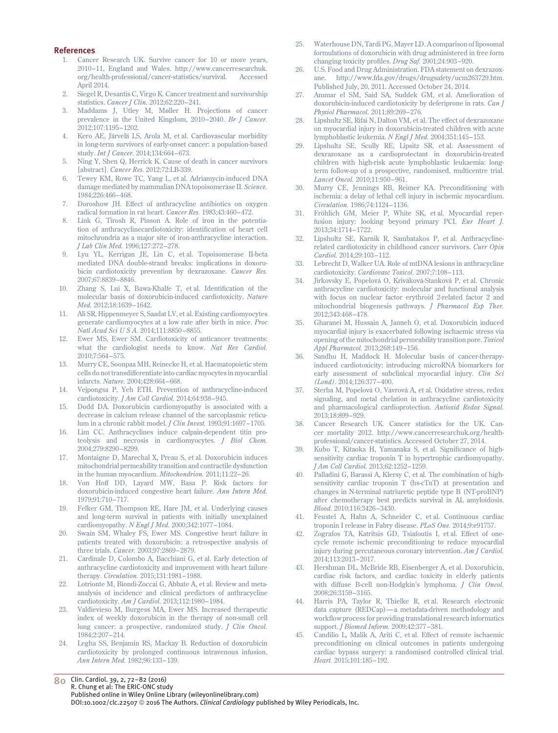#### **References**

- 1. Cancer Research UK. Survive cancer for 10 or more years, 2010–11, England and Wales. http://www.cancerresearchuk. org/health-professional/cancer-statistics/survival. Accessed April 2014.
- 2. Siegel R, Desantis C, Virgo K. Cancer treatment and survivorship statistics. *Cancer J Clin.* 2012;62:220–241.
- 3. Maddams J, Utley M, Møller H. Projections of cancer prevalence in the United Kingdom, 2010–2040. *Br J Cancer.* 2012;107:1195–1202.
- 4. Kero AE, Järvelä LS, Arola M, et al. Cardiovascular morbidity in long-term survivors of early-onset cancer: a population-based study. *Int J Cancer.* 2014;134:664–673.
- 5. Ning Y, Shen Q, Herrick K. Cause of death in cancer survivors [abstract]. *Cancer Res*. 2012;72:LB-339.
- 6. Tewey KM, Rowe TC, Yang L, et al. Adriamycin-induced DNA damage mediated by mammalian DNA topoisomerase II. *Science.* 1984;226:466–468.
- 7. Doroshow JH. Effect of anthracycline antibiotics on oxygen radical formation in rat heart. *Cancer Res.* 1983;43:460–472.
- 8. Link G, Tirosh R, Pinson A. Role of iron in the potentiation of anthracyclinecardiotoxicity: identification of heart cell mitochrondria as a major site of iron-anthracycline interaction. *J Lab Clin Med.* 1996;127:272–278.
- 9. Lyu YL, Kerrigan JE, Lin C, et al. Topoisomerase II-beta mediated DNA double-strand breaks: implications in doxorubicin cardiotoxicity prevention by dexrazoxane. *Cancer Res.* 2007;67:8839–8846.
- 10. Zhang S, Lui X, Bawa-Khalfe T, et al. Identification of the molecular basis of doxorubicin-induced cardiotoxicity. *Nature Med.* 2012;18:1639–1642.
- 11. Ali SR, Hippenmeyer S, Saadat LV, et al. Existing cardiomyocytes generate cardiomyocytes at a low rate after birth in mice. *Proc Natl Acad Sci U S A.* 2014;111:8850–8855.
- 12. Ewer MS, Ewer SM. Cardiotoxicity of anticancer treatments: what the cardiologist needs to know. *Nat Rev Cardiol.* 2010;7:564–575.
- 13. Murry CE, Soonpaa MH, Reinecke H, et al. Haematopoietic stem cells do not transdifferentiate into cardiac myocytes in myocardial infarcts. *Nature.* 2004;428:664–668.
- 14. Vejpongsa P, Yeh ETH. Prevention of anthracycline-induced cardiotoxicity. *J Am Coll Cardiol.* 2014;64:938–945.
- 15. Dodd DA. Doxorubicin cardiomyopathy is associated with a decrease in calcium release channel of the sarcoplasmic reticulum in a chronic rabbit model. *J Clin Invest.* 1993;91:1697–1705.
- 16. Lim CC. Anthracyclines induce calpain-dependent titin proteolysis and necrosis in cardiomyocytes. *J Biol Chem.* 2004;279:8290–8299.
- 17. Montaigne D, Marechal X, Preau S, et al. Doxorubicin induces mitochondrial permeability transition and contractile dysfunction in the human myocardium. *Mitochondrion.* 2011;11:22–26.
- 18. Von Hoff DD, Layard MW, Basa P. Risk factors for doxorubicin-induced congestive heart failure. *Ann Intern Med.* 1979;91:710–717.
- 19. Felker GM, Thompson RE, Hare JM, et al. Underlying causes and long-term survival in patients with initially unexplained cardiomyopathy. *N Engl J Med.* 2000;342:1077–1084.
- 20. Swain SM, Whaley FS, Ewer MS. Congestive heart failure in patients treated with doxorubicin: a retrospective analysis of three trials. *Cancer.* 2003;97:2869–2879.
- 21. Cardinale D, Colombo A, Bacchiani G, et al. Early detection of anthracycline cardiotoxicity and improvement with heart failure therapy. *Circulation.* 2015;131:1981–1988.
- 22. Lotrionte M, Biondi-Zoccai G, Abbate A, et al. Review and metaanalysis of incidence and clinical predictors of anthracycline cardiotoxicity. *Am J Cardiol.* 2013;112:1980–1984.
- 23. Valdievieso M, Burgess MA, Ewer MS. Increased therapeutic index of weekly doxorubicin in the therapy of non-small cell lung cancer: a prospective, randomized study. *J Clin Oncol.* 1984;2:207–214.
- 24. Legha SS, Benjamin RS, Mackay B. Reduction of doxorubicin cardiotoxicity by prolonged continuous intravenous infusion. *Ann Intern Med.* 1982;96:133–139.
- 25. Waterhouse DN, Tardi PG, Mayer LD. A comparison of liposomal formulations of doxorubicin with drug administered in free form changing toxicity profiles. *Drug Saf.* 2001;24:903–920.
- 26. U.S. Food and Drug Administration. FDA statement on dexrazoxane. http://www.fda.gov/drugs/drugsafety/ucm263729.htm. Published July, 20, 2011. Accessed October 24, 2014.
- 27. Ammar el SM, Said SA, Suddek GM, et al. Amelioration of doxorubicin-induced cardiotoxicity by deferiprone in rats. *Can J Physiol Pharmacol.* 2011;89:269–276.
- 28. Lipshultz SE, Rifai N, Dalton VM, et al. The effect of dexrazoxane on myocardial injury in doxorubicin-treated children with acute lymphoblastic leukemia. *N Engl J Med.* 2004;351:145–153.
- 29. Lipshultz SE, Scully RE, Lipsitz SR, et al. Assessment of dexrazoxane as a cardioprotectant in doxorubicin-treated children with high-risk acute lymphoblastic leukaemia: longterm follow-up of a prospective, randomised, multicentre trial. *Lancet Oncol.* 2010;11:950–961.
- 30. Murry CE, Jennings RB, Reimer KA. Preconditioning with ischemia: a delay of lethal cell injury in ischemic myocardium. *Circulation.* 1986;74:1124–1136.
- 31. Fröhlich GM, Meier P, White SK, et al. Myocardial reperfusion injury: looking beyond primary PCI. *Eur Heart J.* 2013;34:1714–1722.
- 32. Lipshultz SE, Karnik R, Sambatakos P, et al. Anthracyclinerelated cardiotoxicity in childhood cancer survivors. *Curr Opin Cardiol.* 2014;29:103–112.
- 33. Lebrecht D, Walker UA. Role of mtDNA lesions in anthracycline cardiotoxicity. *Cardiovasc Toxicol.* 2007;7:108–113.
- 34. Jirkovsky E, Popelová O, Kriváková-Stanková P, et al. Chronic anthracycline cardiotoxicity: molecular and functional analysis with focus on nuclear factor erythroid 2-related factor 2 and mitochondrial biogenesis pathways. *J Pharmacol Exp Ther.* 2012;343:468–478.
- 35. Gharanei M, Hussain A, Janneh O, et al. Doxorubicin induced myocardial injury is exacerbated following ischaemic stress via opening of the mitochondrial permeability transition pore. *Toxicol Appl Pharmacol.* 2013;268:149–156.
- 36. Sandhu H, Maddock H. Molecular basis of cancer-therapyinduced cardiotoxicity: introducing microRNA biomarkers for early assessment of subclinical myocardial injury. *Clin Sci (Lond)*. 2014;126:377–400.
- 37. Sterba M, Popelová O, Vávrová A, et al. Oxidative stress, redox signaling, and metal chelation in anthracycline cardiotoxicity and pharmacological cardioprotection. *Antioxid Redox Signal.* 2013;18:899–929.
- 38. Cancer Research UK. Cancer statistics for the UK. Cancer mortality 2012. http://www.cancerresearchuk.org/healthprofessional/cancer-statistics. Accessed October 27, 2014.
- 39. Kubo T, Kitaoka H, Yamanaka S, et al. Significance of highsensitivity cardiac troponin T in hypertrophic cardiomyopathy. *J Am Coll Cardiol.* 2013;62:1252–1259.
- 40. Palladini G, Barassi A, Klersy C, et al. The combination of highsensitivity cardiac troponin T (hs-cTnT) at presentation and changes in N-terminal natriuretic peptide type B (NT-proBNP) after chemotherapy best predicts survival in AL amyloidosis. *Blood.* 2010;116:3426–3430.
- 41. Feustel A, Hahn A, Schneider C, et al. Continuous cardiac troponin I release in Fabry disease. *PLoS One.* 2014;9:e91757.
- 42. Zografos TA, Katritsis GD, Tsiafoutis I, et al. Effect of onecycle remote ischemic preconditioning to reduce myocardial injury during percutaneous coronary intervention. *Am J Cardiol.* 2014;113:2013–2017.
- 43. Hershman DL, McBride RB, Eisenberger A, et al. Doxorubicin, cardiac risk factors, and cardiac toxicity in elderly patients with diffuse B-cell non-Hodgkin's lymphoma. *J Clin Oncol.* 2008;26:3159–3165.
- 44. Harris PA, Taylor R, Thielke R, et al. Research electronic data capture (REDCap)—a metadata-driven methodology and workflow process for providing translational research informatics support. *J Biomed Inform.* 2009;42:377–381.
- 45. Candilio L, Malik A, Ariti C, et al. Effect of remote ischaemic preconditioning on clinical outcomes in patients undergoing cardiac bypass surgery: a randomised controlled clinical trial. *Heart.* 2015;101:185–192.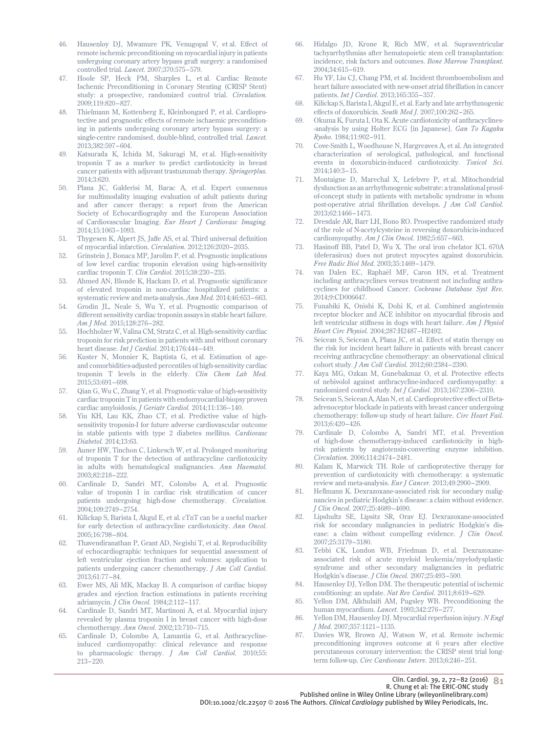- 46. Hausenloy DJ, Mwamure PK, Venugopal V, et al. Effect of remote ischemic preconditioning on myocardial injury in patients undergoing coronary artery bypass graft surgery: a randomised controlled trial. *Lancet.* 2007;370:575–579.
- 47. Hoole SP, Heck PM, Sharples L, et al. Cardiac Remote Ischemic Preconditioning in Coronary Stenting (CRISP Stent) study: a prospective, randomized control trial. *Circulation.* 2009;119:820–827.
- 48. Thielmann M, Kottenberg E, Kleinbongard P, et al. Cardioprotective and prognostic effects of remote ischaemic preconditioning in patients undergoing coronary artery bypass surgery: a single-centre randomised, double-blind, controlled trial. *Lancet.* 2013;382:597–604.
- 49. Katsurada K, Ichida M, Sakuragi M, et al. High-sensitivity troponin T as a marker to predict cardiotoxicity in breast cancer patients with adjuvant trastuzumab therapy. *Springerplus.* 2014;3:620.
- 50. Plana JC, Galderisi M, Barac A, et al. Expert consensus for multimodality imaging evaluation of adult patients during and after cancer therapy: a report from the American Society of Echocardiography and the European Association of Cardiovascular Imaging. *Eur Heart J Cardiovasc Imaging.* 2014;15:1063–1093.
- 51. Thygesen K, Alpert JS, Jaffe AS, et al. Third universal definition of myocardial infarction. *Circulation.* 2012;126:2020–2035.
- 52. Grinstein J, Bonaca MP, Jarolim P, et al. Prognostic implications of low level cardiac troponin elevation using high-sensitivity cardiac troponin T. *Clin Cardiol.* 2015;38:230–235.
- 53. Ahmed AN, Blonde K, Hackam D, et al. Prognostic significance of elevated troponin in non-cardiac hospitalized patients: a systematic review and meta-analysis. *Ann Med.* 2014;46:653–663.
- 54. Grodin JL, Neale S, Wu Y, et al. Prognostic comparison of different sensitivity cardiac troponin assays in stable heart failure. *Am J Med.* 2015;128:276–282.
- 55. Hochholzer W, Valina CM, Stratz C, et al. High-sensitivity cardiac troponin for risk prediction in patients with and without coronary heart disease. *Int J Cardiol.* 2014;176:444–449.
- 56. Kuster N, Monnier K, Baptista G, et al. Estimation of ageand comorbidities-adjusted percentiles of high-sensitivity cardiac troponin T levels in the elderly. *Clin Chem Lab Med.* 2015;53:691–698.
- 57. Qian G, Wu C, Zhang Y, et al. Prognostic value of high-sensitivity cardiac troponin T in patients with endomyocardial-biopsy proven cardiac amyloidosis. *J Geriatr Cardiol.* 2014;11:136–140.
- 58. Yiu KH, Lau KK, Zhao CT, et al. Predictive value of highsensitivity troponin-I for future adverse cardiovascular outcome in stable patients with type 2 diabetes mellitus. *Cardiovasc Diabetol.* 2014;13:63.
- 59. Auner HW, Tinchon C, Linkesch W, et al. Prolonged monitoring of troponin T for the detection of anthracycline cardiotoxicity in adults with hematological malignancies. *Ann Haematol.* 2003;82:218–222.
- 60. Cardinale D, Sandri MT, Colombo A, et al. Prognostic value of troponin I in cardiac risk stratification of cancer patients undergoing high-dose chemotherapy. *Circulation.* 2004;109:2749–2754.
- 61. Kilickap S, Barista I, Akgul E, et al. cTnT can be a useful marker for early detection of anthracycline cardiotoxicity. *Ann Oncol.* 2005;16:798–804.
- 62. Thavendiranathan P, Grant AD, Negishi T, et al. Reproducibility of echocardiographic techniques for sequential assessment of left ventricular ejection fraction and volumes: application to patients undergoing cancer chemotherapy. *J Am Coll Cardiol.* 2013;61:77–84.
- 63. Ewer MS, Ali MK, Mackay B. A comparison of cardiac biopsy grades and ejection fraction estimations in patients receiving adriamycin. *J Clin Oncol.* 1984;2:112–117.
- 64. Cardinale D, Sandri MT, Martinoni A, et al. Myocardial injury revealed by plasma troponin I in breast cancer with high-dose chemotherapy. *Ann Oncol.* 2002;13:710–715.
- 65. Cardinale D, Colombo A, Lamantia G, et al. Anthracyclineinduced cardiomyopathy: clinical relevance and response to pharmacologic therapy. *J Am Coll Cardiol.* 2010;55: 213–220.
- 66. Hidalgo JD, Krone R, Rich MW, et al. Supraventricular tachyarrhythmias after hematopoietic stem cell transplantation: incidence, risk factors and outcomes. *Bone Marrow Transplant.* 2004;34:615–619.
- 67. Hu YF, Liu CJ, Chang PM, et al. Incident thromboembolism and heart failure associated with new-onset atrial fibrillation in cancer patients. *Int J Cardiol.* 2013;165:355–357.
- 68. Kilickap S, Barista I, Akgul E, et al. Early and late arrhythmogenic effects of doxorubicin. *South Med J.* 2007;100:262–265.
- 69. Okuma K, Furuta I, Ota K. Acute cardiotoxicity of anthracyclines- -analysis by using Holter ECG [in Japanese]. *Gan To Kagaku Ryoho.* 1984;11:902–911.
- 70. Cove-Smith L, Woodhouse N, Hargreaves A, et al. An integrated characterization of serological, pathological, and functional events in doxorubicin-induced cardiotoxicity. *Toxicol Sci.* 2014;140:3–15.
- 71. Montaigne D, Marechal X, Lefebvre P, et al. Mitochondrial dysfunction as an arrhythmogenic substrate: a translational proofof-concept study in patients with metabolic syndrome in whom post-operative atrial fibrillation develops. *J Am Coll Cardiol.* 2013;62:1466–1473.
- 72. Dresdale AR, Barr LH, Bono RO. Prospective randomized study of the role of N-acetylcysteine in reversing doxorubicin-induced cardiomyopathy. *Am J Clin Oncol.* 1982;5:657–663.
- 73. Hasinoff BB, Patel D, Wu X. The oral iron chelator ICL 670A (deferasirox) does not protect myocytes against doxorubicin. *Free Radic Biol Med.* 2003;35:1469–1479.
- 74. van Dalen EC, Raphaël MF, Caron HN, et al. Treatment including anthracyclines versus treatment not including anthracyclines for childhood Cancer. *Cochrane Database Syst Rev.* 2014;9:CD006647.
- 75. Funabiki K, Onishi K, Dohi K, et al. Combined angiotensin receptor blocker and ACE inhibitor on myocardial fibrosis and left ventricular stiffness in dogs with heart failure. *Am J Physiol Heart Circ Physiol.* 2004;287:H2487–H2492.
- Seicean S, Seicean A, Plana JC, et al. Effect of statin therapy on the risk for incident heart failure in patients with breast cancer receiving anthracycline chemotherapy: an observational clinical cohort study. *J Am Coll Cardiol.* 2012;60:2384–2390.
- Kaya MG, Ozkan M, Gunebakmaz O, et al. Protective effects of nebivolol against anthracycline-induced cardiomyopathy: a randomized control study. *Int J Cardiol.* 2013;167:2306–2310.
- 78. Seicean S, Seicean A, Alan N, et al. Cardioprotective effect of Betaadrenoceptor blockade in patients with breast cancer undergoing chemotherapy: follow-up study of heart failure. *Circ Heart Fail.* 2013;6:420–426.
- 79. Cardinale D, Colombo A, Sandri MT, et al. Prevention of high-dose chemotherapy-induced cardiotoxicity in highrisk patients by angiotensin-converting enzyme inhibition. *Circulation.* 2006;114:2474–2481.
- 80. Kalam K, Marwick TH. Role of cardioprotective therapy for prevention of cardiotoxicity with chemotherapy: a systematic review and meta-analysis. *Eur J Cancer.* 2013;49:2900–2909.
- 81. Hellmann K. Dexrazoxane-associated risk for secondary malignancies in pediatric Hodgkin's disease: a claim without evidence. *J Clin Oncol.* 2007;25:4689–4690.
- 82. Lipshultz SE, Lipsitz SR, Orav EJ. Dexrazoxane-associated risk for secondary malignancies in pediatric Hodgkin's disease: a claim without compelling evidence. *J Clin Oncol.* 2007;25:3179–3180.
- 83. Tebbi CK, London WB, Friedman D, et al. Dexrazoxaneassociated risk of acute myeloid leukemia/myelodysplastic syndrome and other secondary malignancies in pediatric Hodgkin's disease. *J Clin Oncol.* 2007;25:493–500.
- 84. Hausenloy DJ, Yellon DM. The therapeutic potential of ischemic conditioning: an update. *Nat Rev Cardiol.* 2011;8:619–629.
- 85. Yellon DM, Alkhulaifi AM, Pugsley WB. Preconditioning the human myocardium. *Lancet.* 1993;342:276–277.
- 86. Yellon DM, Hausenloy DJ. Myocardial reperfusion injury. *N Engl J Med.* 2007;357:1121–1135.
- 87. Davies WR, Brown AJ, Watson W, et al. Remote ischemic preconditioning improves outcome at 6 years after elective percutaneous coronary intervention: the CRISP stent trial longterm follow-up. *Circ Cardiovasc Interv.* 2013;6:246–251.